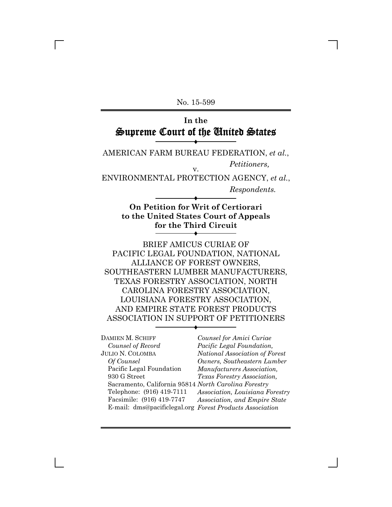No. 15-599

# **In the** Supreme Court of the United States

 $\blacklozenge$ 

AMERICAN FARM BUREAU FEDERATION, *et al.*, *Petitioners,* v.

ENVIRONMENTAL PROTECTION AGENCY, *et al.*,

*Respondents.*

## **On Petition for Writ of Certiorari to the United States Court of Appeals for the Third Circuit**

 $\blacklozenge$ 

 $\blacklozenge$ 

BRIEF AMICUS CURIAE OF PACIFIC LEGAL FOUNDATION, NATIONAL ALLIANCE OF FOREST OWNERS, SOUTHEASTERN LUMBER MANUFACTURERS, TEXAS FORESTRY ASSOCIATION, NORTH CAROLINA FORESTRY ASSOCIATION, LOUISIANA FORESTRY ASSOCIATION, AND EMPIRE STATE FOREST PRODUCTS ASSOCIATION IN SUPPORT OF PETITIONERS

 $\blacklozenge$ 

DAMIEN M. SCHIFF *Counsel of Record* JULIO N. COLOMBA *Of Counsel* Pacific Legal Foundation 930 G Street Sacramento, California 95814 *North Carolina Forestry* Telephone: (916) 419-7111 Facsimile: (916) 419-7747 E-mail: dms@pacificlegal.org *Forest Products Association*

*Counsel for Amici Curiae Pacific Legal Foundation, National Association of Forest Owners, Southeastern Lumber Manufacturers Association, Texas Forestry Association, Association, Louisiana Forestry Association, and Empire State*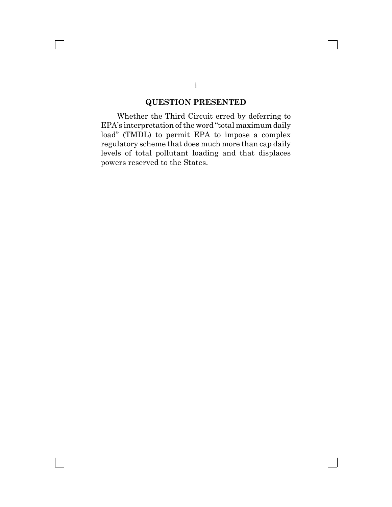### **QUESTION PRESENTED**

Whether the Third Circuit erred by deferring to EPA's interpretation of the word "total maximum daily load" (TMDL) to permit EPA to impose a complex regulatory scheme that does much more than cap daily levels of total pollutant loading and that displaces powers reserved to the States.

 $\Box$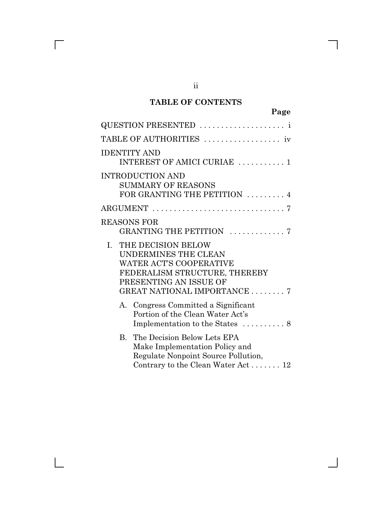# **TABLE OF CONTENTS**

|                    | QUESTION PRESENTED                                                                                                                                                                      |
|--------------------|-----------------------------------------------------------------------------------------------------------------------------------------------------------------------------------------|
|                    |                                                                                                                                                                                         |
|                    | <b>IDENTITY AND</b><br>INTEREST OF AMICI CURIAE  1                                                                                                                                      |
|                    | <b>INTRODUCTION AND</b><br><b>SUMMARY OF REASONS</b><br>FOR GRANTING THE PETITION  4                                                                                                    |
|                    |                                                                                                                                                                                         |
| <b>REASONS FOR</b> | GRANTING THE PETITION 7                                                                                                                                                                 |
|                    | I. THE DECISION BELOW<br><b>UNDERMINES THE CLEAN</b><br><b>WATER ACT'S COOPERATIVE</b><br>FEDERALISM STRUCTURE, THEREBY<br>PRESENTING AN ISSUE OF<br><b>GREAT NATIONAL IMPORTANCE 7</b> |
|                    | A. Congress Committed a Significant<br>Portion of the Clean Water Act's<br>Implementation to the States  8                                                                              |
|                    | B. The Decision Below Lets EPA<br>Make Implementation Policy and<br>Regulate Nonpoint Source Pollution,<br>Contrary to the Clean Water Act 12                                           |

ii

 $\overline{\Gamma}$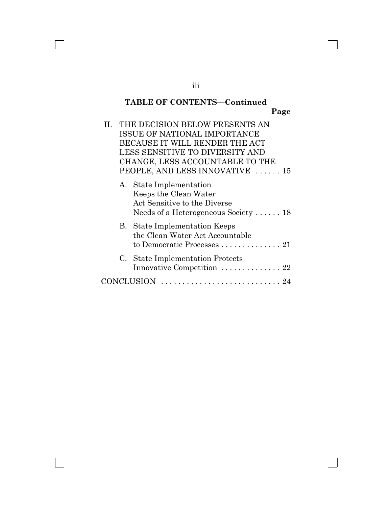# **TABLE OF CONTENTS—Continued Page**

| Н. | THE DECISION BELOW PRESENTS AN<br>ISSUE OF NATIONAL IMPORTANCE<br>BECAUSE IT WILL RENDER THE ACT<br>LESS SENSITIVE TO DIVERSITY AND<br>CHANGE, LESS ACCOUNTABLE TO THE<br>PEOPLE, AND LESS INNOVATIVE  15 |
|----|-----------------------------------------------------------------------------------------------------------------------------------------------------------------------------------------------------------|
|    | A. State Implementation<br>Keeps the Clean Water<br>Act Sensitive to the Diverse<br>Needs of a Heterogeneous Society $\dots$ . 18                                                                         |
|    | <b>B.</b> State Implementation Keeps<br>the Clean Water Act Accountable<br>to Democratic Processes $\ldots \ldots \ldots \ldots 21$                                                                       |
|    | C. State Implementation Protects<br>Innovative Competition  22                                                                                                                                            |
|    | NCLUSION                                                                                                                                                                                                  |

 $\mathsf{l}$ 

 $\overline{\Gamma}$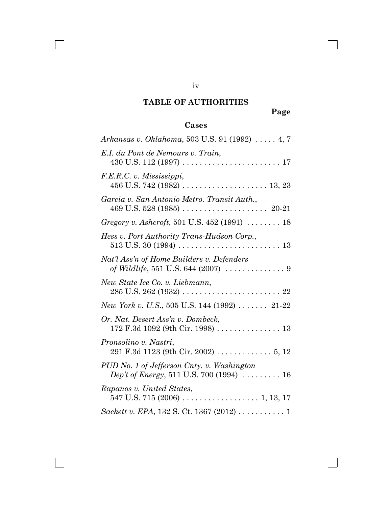# **TABLE OF AUTHORITIES**

iv

 $\overline{\Gamma}$ 

 $\mathbf{L}$ 

**Page**

# **Cases**

| Arkansas v. Oklahoma, 503 U.S. 91 (1992)  4, 7                                                                       |
|----------------------------------------------------------------------------------------------------------------------|
| E.I. du Pont de Nemours v. Train,                                                                                    |
| F.E.R.C. v. Mississippi,                                                                                             |
| Garcia v. San Antonio Metro. Transit Auth.,                                                                          |
| <i>Gregory v. Ashcroft</i> , 501 U.S. 452 (1991) $\ldots \ldots \ldots$ 18                                           |
| Hess v. Port Authority Trans-Hudson Corp.,                                                                           |
| Nat'l Ass'n of Home Builders v. Defenders<br>of Wildlife, 551 U.S. 644 (2007) $\ldots \ldots \ldots \ldots$ .        |
| New State Ice Co. v. Liebmann,                                                                                       |
| <i>New York v. U.S.</i> , 505 U.S. 144 (1992) $\ldots$ 21-22                                                         |
| Or. Nat. Desert Ass'n v. Dombeck,<br>172 F.3d 1092 (9th Cir. 1998) 13                                                |
| Pronsolino v. Nastri,<br>291 F.3d 1123 (9th Cir. 2002) 5, 12                                                         |
| PUD No. 1 of Jefferson Cnty. v. Washington<br><i>Dep't of Energy</i> , 511 U.S. 700 (1994) $\ldots \ldots \ldots 16$ |
| Rapanos v. United States,                                                                                            |
| Sackett v. EPA, 132 S. Ct. 1367 (2012) 1                                                                             |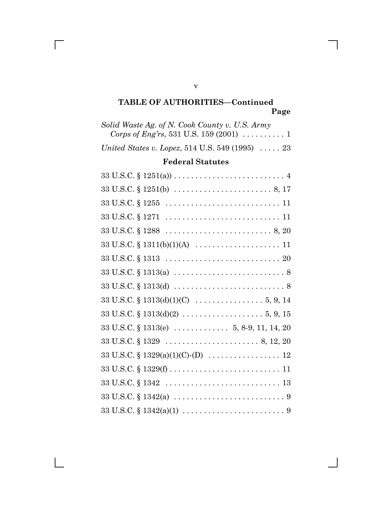# **TABLE OF AUTHORITIES—Continued Page**

| Solid Waste Ag. of N. Cook County v. U.S. Army<br>Corps of Eng'rs, 531 U.S. 159 (2001) $\ldots \ldots \ldots 1$             |
|-----------------------------------------------------------------------------------------------------------------------------|
| United States v. Lopez, 514 U.S. 549 (1995) $\ldots$ . 23                                                                   |
| <b>Federal Statutes</b>                                                                                                     |
| $33 \text{ U.S.C.} \S 1251(a)) \ldots \ldots \ldots \ldots \ldots \ldots \ldots \ldots \ldots \ldots \ldots$                |
|                                                                                                                             |
| $33 \text{ U.S.C.} \S 1255 \ldots \ldots \ldots \ldots \ldots \ldots \ldots \ldots \ldots 11$                               |
| $33 \text{ U.S.C.} \S 1271 \ldots \ldots \ldots \ldots \ldots \ldots \ldots \ldots \ldots 11$                               |
| $33 \text{ U.S.C.} \S 1288 \dots \dots \dots \dots \dots \dots \dots \dots \dots \dots \dots \dots \dots \dots \dots \dots$ |
|                                                                                                                             |
| $33 \text{ U.S.C.} \S 1313 \ldots \ldots \ldots \ldots \ldots \ldots \ldots \ldots \ldots \ldots 20$                        |
|                                                                                                                             |
|                                                                                                                             |
|                                                                                                                             |
| $33 \text{ U.S.C.} \$ $1313(d)(2) \ldots \ldots \ldots \ldots \ldots \ldots 5, 9, 15$                                       |
| $33 \text{ U.S.C.} \S 1313(e) \ldots \ldots \ldots \ldots \quad 5, 8.9, 11, 14, 20$                                         |
|                                                                                                                             |
|                                                                                                                             |
|                                                                                                                             |
| $33 \text{ U.S.C.} \S 1342 \ldots \ldots \ldots \ldots \ldots \ldots \ldots \ldots \ldots \ldots 13$                        |
|                                                                                                                             |
|                                                                                                                             |

v

 $\overline{\Gamma}$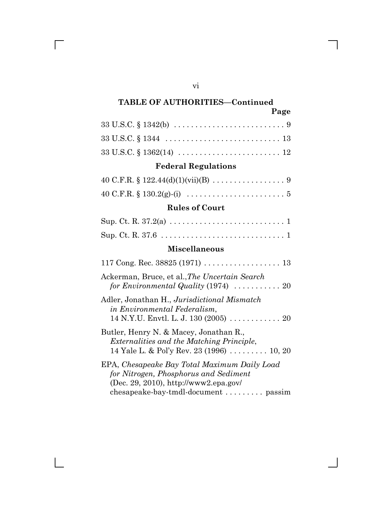# **TABLE OF AUTHORITIES—Continued**

vi

 $\Box$ 

| я<br>ıΟ<br>٠ |
|--------------|
|--------------|

| $33 \text{ U.S.C.} \S 1342 \text{ (b)} \ldots \ldots \ldots \ldots \ldots \ldots \ldots \ldots \ldots \ldots \ldots \ldots \ldots$ |
|------------------------------------------------------------------------------------------------------------------------------------|
| $33 \text{ U.S.C.} \S 1344 \ldots \ldots \ldots \ldots \ldots \ldots \ldots \ldots \ldots \ldots 13$                               |
| $33 \text{ U.S.C.} \S 1362(14) \ldots \ldots \ldots \ldots \ldots \ldots \ldots \ldots 12$                                         |

# **Federal Regulations**

# **Rules of Court**

# **Miscellaneous**

| Ackerman, Bruce, et al., The Uncertain Search                                                                                                                             |
|---------------------------------------------------------------------------------------------------------------------------------------------------------------------------|
| Adler, Jonathan H., Jurisdictional Mismatch<br>in Environmental Federalism,<br>14 N.Y.U. Envtl. L. J. 130 (2005) 20                                                       |
| Butler, Henry N. & Macey, Jonathan R.,<br><i>Externalities and the Matching Principle,</i><br>14 Yale L. & Pol'y Rev. 23 (1996) 10, 20                                    |
| EPA, Chesapeake Bay Total Maximum Daily Load<br>for Nitrogen, Phosphorus and Sediment<br>$(Dec. 29. 2010)$ , http://www2.epa.gov/<br>chesapeake-bay-tmdl-document  passim |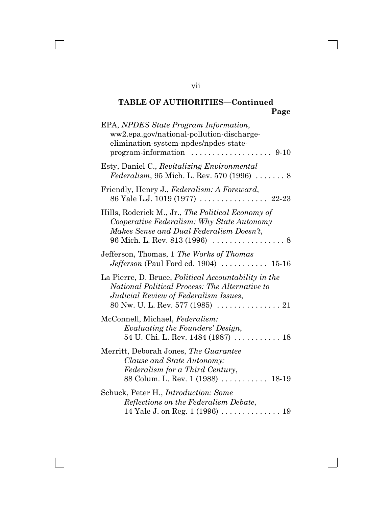# **TABLE OF AUTHORITIES—Continued Page**

| EPA, NPDES State Program Information,<br>ww2.epa.gov/national-pollution-discharge-<br>elimination-system-npdes/npdes-state-<br>$program\text{-}information \dots \dots \dots \dots \dots \dots \dots 9-10$              |
|-------------------------------------------------------------------------------------------------------------------------------------------------------------------------------------------------------------------------|
| Esty, Daniel C., Revitalizing Environmental<br><i>Federalism</i> , 95 Mich. L. Rev. 570 (1996) $\ldots \ldots 8$                                                                                                        |
| Friendly, Henry J., Federalism: A Foreward,<br>86 Yale L.J. 1019 (1977)  22-23                                                                                                                                          |
| Hills, Roderick M., Jr., The Political Economy of<br>Cooperative Federalism: Why State Autonomy<br>Makes Sense and Dual Federalism Doesn't,                                                                             |
| Jefferson, Thomas, 1 The Works of Thomas<br><i>Jefferson</i> (Paul Ford ed. 1904) $\ldots \ldots \ldots 15-16$                                                                                                          |
| La Pierre, D. Bruce, <i>Political Accountability in the</i><br>National Political Process: The Alternative to<br>Judicial Review of Federalism Issues,<br>80 Nw. U. L. Rev. 577 (1985) $\ldots \ldots \ldots \ldots 21$ |
| McConnell, Michael, Federalism:<br>Evaluating the Founders' Design,<br>54 U. Chi. L. Rev. 1484 (1987)  18                                                                                                               |
| Merritt, Deborah Jones, The Guarantee<br>Clause and State Autonomy:<br>Federalism for a Third Century,<br>88 Colum. L. Rev. 1 (1988)  18-19                                                                             |
| Schuck, Peter H., <i>Introduction: Some</i><br>Reflections on the Federalism Debate,                                                                                                                                    |

vii

 $\overline{\Gamma}$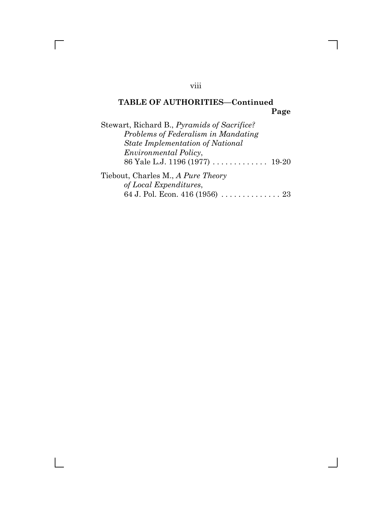# **TABLE OF AUTHORITIES—Continued Page**

| Stewart, Richard B., <i>Pyramids of Sacrifice?</i> |
|----------------------------------------------------|
| Problems of Federalism in Mandating                |
| <b>State Implementation of National</b>            |
| <i>Environmental Policy,</i>                       |
| 86 Yale L.J. 1196 (1977)  19-20                    |
| Tiebout, Charles M., A Pure Theory                 |
| of Local Expenditures,                             |
| 64 J. Pol. Econ. 416 (1956)  23                    |

viii

 $\overline{\Gamma}$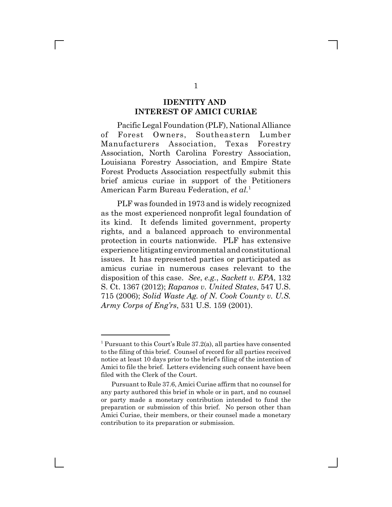#### **IDENTITY AND INTEREST OF AMICI CURIAE**

Pacific Legal Foundation (PLF), National Alliance of Forest Owners, Southeastern Lumber Manufacturers Association, Texas Forestry Association, North Carolina Forestry Association, Louisiana Forestry Association, and Empire State Forest Products Association respectfully submit this brief amicus curiae in support of the Petitioners American Farm Bureau Federation, *et al.*<sup>1</sup>

PLF was founded in 1973 and is widely recognized as the most experienced nonprofit legal foundation of its kind. It defends limited government, property rights, and a balanced approach to environmental protection in courts nationwide. PLF has extensive experience litigating environmental and constitutional issues. It has represented parties or participated as amicus curiae in numerous cases relevant to the disposition of this case. *See*, *e.g.*, *Sackett v. EPA*, 132 S. Ct. 1367 (2012); *Rapanos v. United States*, 547 U.S. 715 (2006); *Solid Waste Ag. of N. Cook County v. U.S. Army Corps of Eng'rs*, 531 U.S. 159 (2001).

<sup>&</sup>lt;sup>1</sup> Pursuant to this Court's Rule 37.2(a), all parties have consented to the filing of this brief. Counsel of record for all parties received notice at least 10 days prior to the brief's filing of the intention of Amici to file the brief. Letters evidencing such consent have been filed with the Clerk of the Court.

Pursuant to Rule 37.6, Amici Curiae affirm that no counsel for any party authored this brief in whole or in part, and no counsel or party made a monetary contribution intended to fund the preparation or submission of this brief. No person other than Amici Curiae, their members, or their counsel made a monetary contribution to its preparation or submission.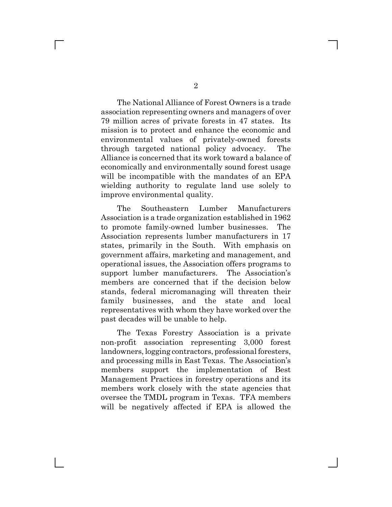The National Alliance of Forest Owners is a trade association representing owners and managers of over 79 million acres of private forests in 47 states. Its mission is to protect and enhance the economic and environmental values of privately-owned forests through targeted national policy advocacy. The Alliance is concerned that its work toward a balance of economically and environmentally sound forest usage will be incompatible with the mandates of an EPA wielding authority to regulate land use solely to improve environmental quality.

The Southeastern Lumber Manufacturers Association is a trade organization established in 1962 to promote family-owned lumber businesses. The Association represents lumber manufacturers in 17 states, primarily in the South. With emphasis on government affairs, marketing and management, and operational issues, the Association offers programs to support lumber manufacturers. The Association's members are concerned that if the decision below stands, federal micromanaging will threaten their family businesses, and the state and local representatives with whom they have worked over the past decades will be unable to help.

The Texas Forestry Association is a private non-profit association representing 3,000 forest landowners, logging contractors, professional foresters, and processing mills in East Texas. The Association's members support the implementation of Best Management Practices in forestry operations and its members work closely with the state agencies that oversee the TMDL program in Texas. TFA members will be negatively affected if EPA is allowed the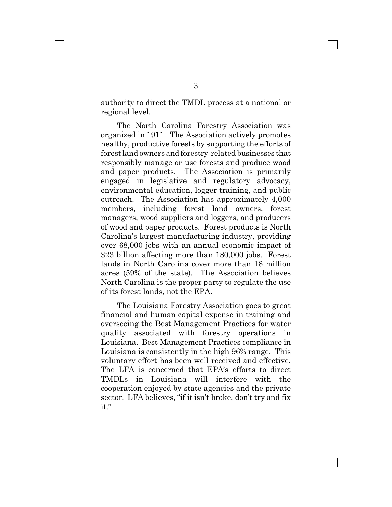authority to direct the TMDL process at a national or regional level.

The North Carolina Forestry Association was organized in 1911. The Association actively promotes healthy, productive forests by supporting the efforts of forest land owners and forestry-related businesses that responsibly manage or use forests and produce wood and paper products. The Association is primarily engaged in legislative and regulatory advocacy, environmental education, logger training, and public outreach. The Association has approximately 4,000 members, including forest land owners, forest managers, wood suppliers and loggers, and producers of wood and paper products. Forest products is North Carolina's largest manufacturing industry, providing over 68,000 jobs with an annual economic impact of \$23 billion affecting more than 180,000 jobs. Forest lands in North Carolina cover more than 18 million acres (59% of the state). The Association believes North Carolina is the proper party to regulate the use of its forest lands, not the EPA.

The Louisiana Forestry Association goes to great financial and human capital expense in training and overseeing the Best Management Practices for water quality associated with forestry operations in Louisiana. Best Management Practices compliance in Louisiana is consistently in the high 96% range. This voluntary effort has been well received and effective. The LFA is concerned that EPA's efforts to direct TMDLs in Louisiana will interfere with the cooperation enjoyed by state agencies and the private sector. LFA believes, "if it isn't broke, don't try and fix it."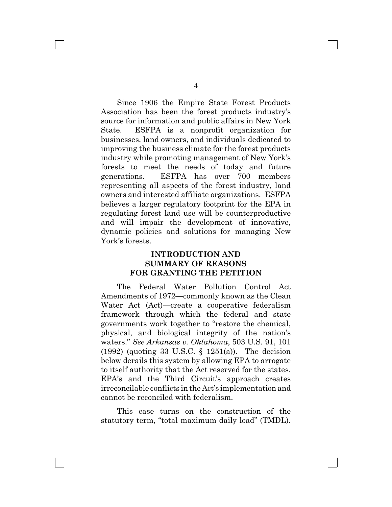Since 1906 the Empire State Forest Products Association has been the forest products industry's source for information and public affairs in New York State. ESFPA is a nonprofit organization for businesses, land owners, and individuals dedicated to improving the business climate for the forest products industry while promoting management of New York's forests to meet the needs of today and future generations. ESFPA has over 700 members representing all aspects of the forest industry, land owners and interested affiliate organizations. ESFPA believes a larger regulatory footprint for the EPA in regulating forest land use will be counterproductive and will impair the development of innovative, dynamic policies and solutions for managing New York's forests.

### **INTRODUCTION AND SUMMARY OF REASONS FOR GRANTING THE PETITION**

The Federal Water Pollution Control Act Amendments of 1972—commonly known as the Clean Water Act (Act)—create a cooperative federalism framework through which the federal and state governments work together to "restore the chemical, physical, and biological integrity of the nation's waters." *See Arkansas v. Oklahoma*, 503 U.S. 91, 101 (1992) (quoting 33 U.S.C. § 1251(a)). The decision below derails this system by allowing EPA to arrogate to itself authority that the Act reserved for the states. EPA's and the Third Circuit's approach creates irreconcilable conflicts in the Act's implementation and cannot be reconciled with federalism.

This case turns on the construction of the statutory term, "total maximum daily load" (TMDL).

 $\mathbb{R}^n$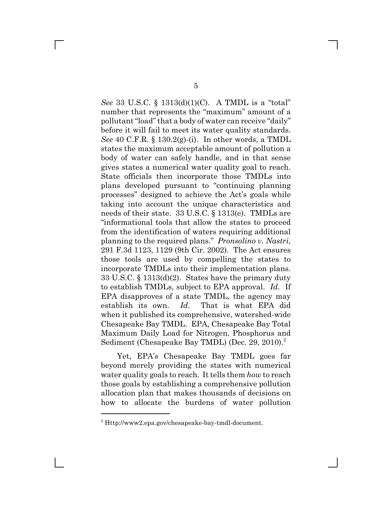*See* 33 U.S.C. § 1313(d)(1)(C). A TMDL is a "total" number that represents the "maximum" amount of a pollutant "load" that a body of water can receive "daily" before it will fail to meet its water quality standards. *See* 40 C.F.R. § 130.2(g)-(i). In other words, a TMDL states the maximum acceptable amount of pollution a body of water can safely handle, and in that sense gives states a numerical water quality goal to reach. State officials then incorporate those TMDLs into plans developed pursuant to "continuing planning processes" designed to achieve the Act's goals while taking into account the unique characteristics and needs of their state. 33 U.S.C. § 1313(e). TMDLs are "informational tools that allow the states to proceed from the identification of waters requiring additional planning to the required plans." *Pronsolino v. Nastri*, 291 F.3d 1123, 1129 (9th Cir. 2002). The Act ensures those tools are used by compelling the states to incorporate TMDLs into their implementation plans. 33 U.S.C. § 1313(d)(2). States have the primary duty to establish TMDLs, subject to EPA approval. *Id.* If EPA disapproves of a state TMDL, the agency may establish its own. *Id*. That is what EPA did when it published its comprehensive, watershed-wide Chesapeake Bay TMDL. EPA, Chesapeake Bay Total Maximum Daily Load for Nitrogen, Phosphorus and Sediment (Chesapeake Bay TMDL) (Dec. 29, 2010).<sup>2</sup>

Yet, EPA's Chesapeake Bay TMDL goes far beyond merely providing the states with numerical water quality goals to reach. It tells them *how* to reach those goals by establishing a comprehensive pollution allocation plan that makes thousands of decisions on how to allocate the burdens of water pollution

<sup>2</sup> Http://www2.epa.gov/chesapeake-bay-tmdl-document.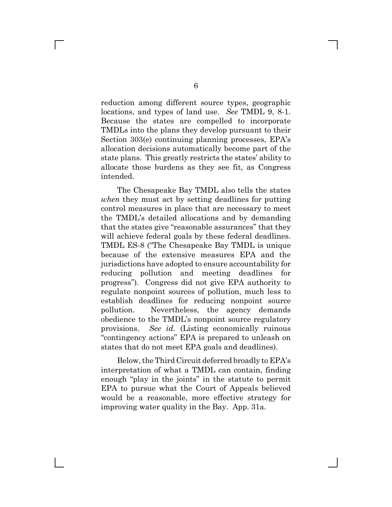reduction among different source types, geographic locations, and types of land use. *See* TMDL 9, 8-1. Because the states are compelled to incorporate TMDLs into the plans they develop pursuant to their Section 303(e) continuing planning processes, EPA's allocation decisions automatically become part of the state plans. This greatly restricts the states' ability to allocate those burdens as they see fit, as Congress intended.

The Chesapeake Bay TMDL also tells the states *when* they must act by setting deadlines for putting control measures in place that are necessary to meet the TMDL's detailed allocations and by demanding that the states give "reasonable assurances" that they will achieve federal goals by these federal deadlines. TMDL ES-8 ("The Chesapeake Bay TMDL is unique because of the extensive measures EPA and the jurisdictions have adopted to ensure accountability for reducing pollution and meeting deadlines for progress"). Congress did not give EPA authority to regulate nonpoint sources of pollution, much less to establish deadlines for reducing nonpoint source pollution. Nevertheless, the agency demands obedience to the TMDL's nonpoint source regulatory provisions. *See id*. (Listing economically ruinous "contingency actions" EPA is prepared to unleash on states that do not meet EPA goals and deadlines).

Below, the Third Circuit deferred broadly to EPA's interpretation of what a TMDL can contain, finding enough "play in the joints" in the statute to permit EPA to pursue what the Court of Appeals believed would be a reasonable, more effective strategy for improving water quality in the Bay. App. 31a.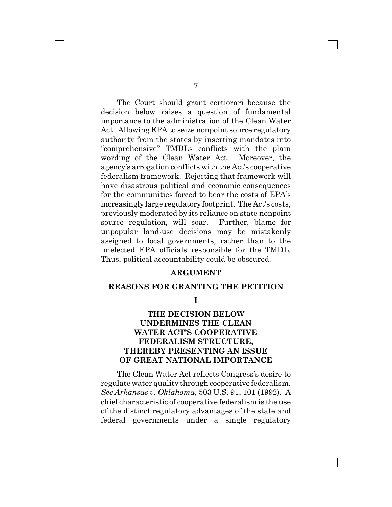The Court should grant certiorari because the decision below raises a question of fundamental importance to the administration of the Clean Water Act. Allowing EPA to seize nonpoint source regulatory authority from the states by inserting mandates into "comprehensive" TMDLs conflicts with the plain wording of the Clean Water Act. Moreover, the agency's arrogation conflicts with the Act's cooperative federalism framework. Rejecting that framework will have disastrous political and economic consequences for the communities forced to bear the costs of EPA's increasingly large regulatory footprint. The Act's costs, previously moderated by its reliance on state nonpoint source regulation, will soar. Further, blame for unpopular land-use decisions may be mistakenly assigned to local governments, rather than to the unelected EPA officials responsible for the TMDL. Thus, political accountability could be obscured.

#### **ARGUMENT**

#### **REASONS FOR GRANTING THE PETITION**

**I**

### **THE DECISION BELOW UNDERMINES THE CLEAN WATER ACT'S COOPERATIVE FEDERALISM STRUCTURE, THEREBY PRESENTING AN ISSUE OF GREAT NATIONAL IMPORTANCE**

The Clean Water Act reflects Congress's desire to regulate water quality through cooperative federalism. *See Arkansas v. Oklahoma*, 503 U.S. 91, 101 (1992). A chief characteristic of cooperative federalism is the use of the distinct regulatory advantages of the state and federal governments under a single regulatory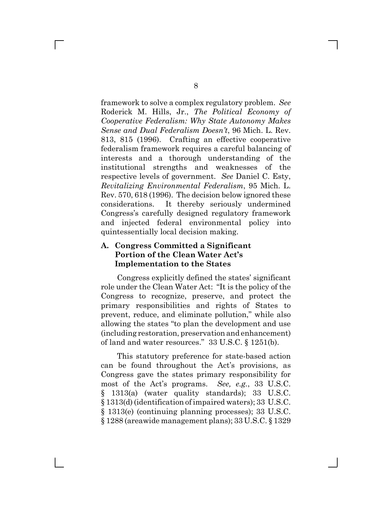framework to solve a complex regulatory problem. *See* Roderick M. Hills, Jr., *The Political Economy of Cooperative Federalism: Why State Autonomy Makes Sense and Dual Federalism Doesn't*, 96 Mich. L. Rev. 813, 815 (1996). Crafting an effective cooperative federalism framework requires a careful balancing of interests and a thorough understanding of the institutional strengths and weaknesses of the respective levels of government. *See* Daniel C. Esty, *Revitalizing Environmental Federalism*, 95 Mich. L. Rev. 570, 618 (1996). The decision below ignored these considerations. It thereby seriously undermined Congress's carefully designed regulatory framework and injected federal environmental policy into quintessentially local decision making.

### **A. Congress Committed a Significant Portion of the Clean Water Act's Implementation to the States**

Congress explicitly defined the states' significant role under the Clean Water Act: "It is the policy of the Congress to recognize, preserve, and protect the primary responsibilities and rights of States to prevent, reduce, and eliminate pollution," while also allowing the states "to plan the development and use (including restoration, preservation and enhancement) of land and water resources." 33 U.S.C. § 1251(b).

This statutory preference for state-based action can be found throughout the Act's provisions, as Congress gave the states primary responsibility for most of the Act's programs. *See, e.g.*, 33 U.S.C. § 1313(a) (water quality standards); 33 U.S.C. § 1313(d) (identification of impaired waters); 33 U.S.C. § 1313(e) (continuing planning processes); 33 U.S.C. § 1288 (areawide management plans); 33 U.S.C. § 1329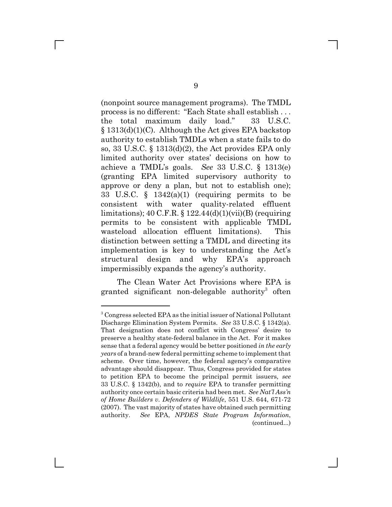(nonpoint source management programs). The TMDL process is no different: "Each State shall establish . . . the total maximum daily load." 33 U.S.C. § 1313(d)(1)(C). Although the Act gives EPA backstop authority to establish TMDLs when a state fails to do so, 33 U.S.C. § 1313(d)(2), the Act provides EPA only limited authority over states' decisions on how to achieve a TMDL's goals. *See* 33 U.S.C. § 1313(e) (granting EPA limited supervisory authority to approve or deny a plan, but not to establish one); 33 U.S.C. § 1342(a)(1) (requiring permits to be consistent with water quality-related effluent limitations);  $40 \text{ C.F.R.}$  §  $122.44(d)(1)(vii)(B)$  (requiring permits to be consistent with applicable TMDL wasteload allocation effluent limitations). This distinction between setting a TMDL and directing its implementation is key to understanding the Act's structural design and why EPA's approach impermissibly expands the agency's authority.

The Clean Water Act Provisions where EPA is granted significant non-delegable authority<sup>3</sup> often

<sup>&</sup>lt;sup>3</sup> Congress selected EPA as the initial issuer of National Pollutant Discharge Elimination System Permits. *See* 33 U.S.C. § 1342(a). That designation does not conflict with Congress' desire to preserve a healthy state-federal balance in the Act. For it makes sense that a federal agency would be better positioned *in the early years* of a brand-new federal permitting scheme to implement that scheme. Over time, however, the federal agency's comparative advantage should disappear. Thus, Congress provided for states to petition EPA to become the principal permit issuers, *see* 33 U.S.C. § 1342(b), and to *require* EPA to transfer permitting authority once certain basic criteria had been met. *See Nat'l Ass'n of Home Builders v. Defenders of Wildlife*, 551 U.S. 644, 671-72 (2007). The vast majority of states have obtained such permitting authority. *See* EPA, *NPDES State Program Information*, (continued...)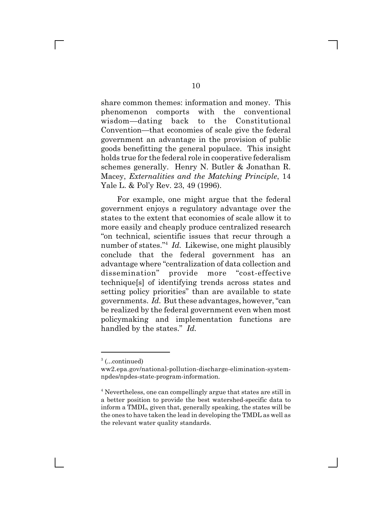share common themes: information and money. This phenomenon comports with the conventional wisdom—dating back to the Constitutional Convention—that economies of scale give the federal government an advantage in the provision of public goods benefitting the general populace. This insight holds true for the federal role in cooperative federalism schemes generally. Henry N. Butler & Jonathan R. Macey, *Externalities and the Matching Principle*, 14 Yale L. & Pol'y Rev. 23, 49 (1996).

For example, one might argue that the federal government enjoys a regulatory advantage over the states to the extent that economies of scale allow it to more easily and cheaply produce centralized research "on technical, scientific issues that recur through a number of states."4 *Id.* Likewise, one might plausibly conclude that the federal government has an advantage where "centralization of data collection and dissemination" provide more "cost-effective technique[s] of identifying trends across states and setting policy priorities" than are available to state governments. *Id.* But these advantages, however, "can be realized by the federal government even when most policymaking and implementation functions are handled by the states." *Id.*

<sup>&</sup>lt;sup>3</sup> (...continued)

ww2.epa.gov/national-pollution-discharge-elimination-systemnpdes/npdes-state-program-information.

<sup>&</sup>lt;sup>4</sup> Nevertheless, one can compellingly argue that states are still in a better position to provide the best watershed-specific data to inform a TMDL, given that, generally speaking, the states will be the ones to have taken the lead in developing the TMDL as well as the relevant water quality standards.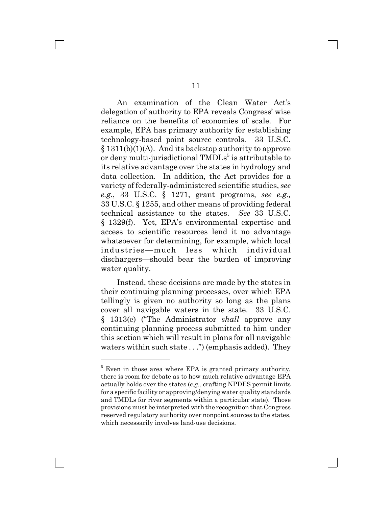An examination of the Clean Water Act's delegation of authority to EPA reveals Congress' wise reliance on the benefits of economies of scale. For example, EPA has primary authority for establishing technology-based point source controls. 33 U.S.C. § 1311(b)(1)(A). And its backstop authority to approve or deny multi-jurisdictional TMDLs<sup>5</sup> is attributable to its relative advantage over the states in hydrology and data collection. In addition, the Act provides for a variety of federally-administered scientific studies, *see e.g.*, 33 U.S.C. § 1271, grant programs, *see e.g.,* 33 U.S.C. § 1255, and other means of providing federal technical assistance to the states. *See* 33 U.S.C. § 1329(f). Yet, EPA's environmental expertise and access to scientific resources lend it no advantage whatsoever for determining, for example, which local industries—much less which individual dischargers—should bear the burden of improving water quality.

Instead, these decisions are made by the states in their continuing planning processes, over which EPA tellingly is given no authority so long as the plans cover all navigable waters in the state. 33 U.S.C. § 1313(e) ("The Administrator *shall* approve any continuing planning process submitted to him under this section which will result in plans for all navigable waters within such state . . .") (emphasis added). They

<sup>&</sup>lt;sup>5</sup> Even in those area where EPA is granted primary authority, there is room for debate as to how much relative advantage EPA actually holds over the states (*e.g.*, crafting NPDES permit limits for a specific facility or approving/denying water quality standards and TMDLs for river segments within a particular state). Those provisions must be interpreted with the recognition that Congress reserved regulatory authority over nonpoint sources to the states, which necessarily involves land-use decisions.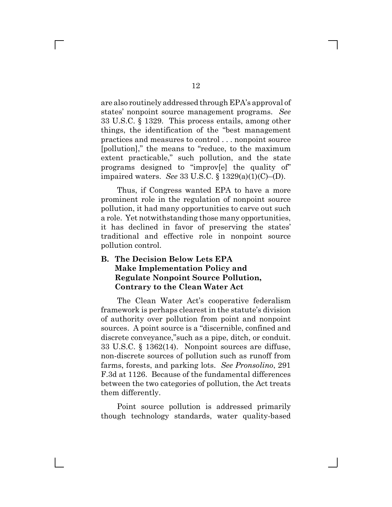are also routinely addressed through EPA's approval of states' nonpoint source management programs. *See* 33 U.S.C. § 1329. This process entails, among other things, the identification of the "best management practices and measures to control . . . nonpoint source [pollution]," the means to "reduce, to the maximum extent practicable," such pollution, and the state programs designed to "improv[e] the quality of" impaired waters. *See* 33 U.S.C. § 1329(a)(1)(C)–(D).

Thus, if Congress wanted EPA to have a more prominent role in the regulation of nonpoint source pollution, it had many opportunities to carve out such a role. Yet notwithstanding those many opportunities, it has declined in favor of preserving the states' traditional and effective role in nonpoint source pollution control.

### **B. The Decision Below Lets EPA Make Implementation Policy and Regulate Nonpoint Source Pollution, Contrary to the Clean Water Act**

The Clean Water Act's cooperative federalism framework is perhaps clearest in the statute's division of authority over pollution from point and nonpoint sources. A point source is a "discernible, confined and discrete conveyance,"such as a pipe, ditch, or conduit. 33 U.S.C. § 1362(14). Nonpoint sources are diffuse, non-discrete sources of pollution such as runoff from farms, forests, and parking lots. *See Pronsolino*, 291 F.3d at 1126. Because of the fundamental differences between the two categories of pollution, the Act treats them differently.

Point source pollution is addressed primarily though technology standards, water quality-based

 $\mathbb{R}^n$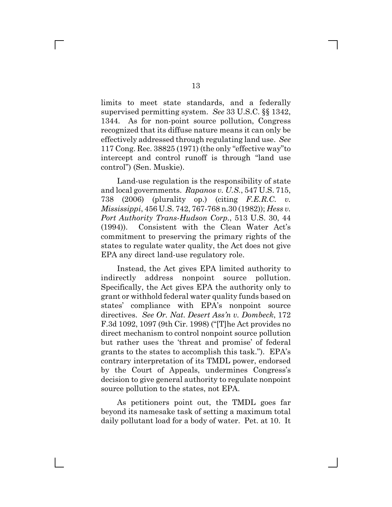limits to meet state standards, and a federally supervised permitting system. *See* 33 U.S.C. §§ 1342, 1344. As for non-point source pollution, Congress recognized that its diffuse nature means it can only be effectively addressed through regulating land use. *See* 117 Cong. Rec. 38825 (1971) (the only "effective way"to intercept and control runoff is through "land use control") (Sen. Muskie).

Land-use regulation is the responsibility of state and local governments. *Rapanos v. U.S.*, 547 U.S. 715, 738 (2006) (plurality op.) (citing *F.E.R.C. v. Mississippi*, 456 U.S. 742, 767-768 n.30 (1982)); *Hess v. Port Authority Trans-Hudson Corp.*, 513 U.S. 30, 44 (1994)). Consistent with the Clean Water Act's commitment to preserving the primary rights of the states to regulate water quality, the Act does not give EPA any direct land-use regulatory role.

Instead, the Act gives EPA limited authority to indirectly address nonpoint source pollution. Specifically, the Act gives EPA the authority only to grant or withhold federal water quality funds based on states' compliance with EPA's nonpoint source directives. *See Or. Nat. Desert Ass'n v. Dombeck*, 172 F.3d 1092, 1097 (9th Cir. 1998) ("[T]he Act provides no direct mechanism to control nonpoint source pollution but rather uses the 'threat and promise' of federal grants to the states to accomplish this task."). EPA's contrary interpretation of its TMDL power, endorsed by the Court of Appeals, undermines Congress's decision to give general authority to regulate nonpoint source pollution to the states, not EPA.

As petitioners point out, the TMDL goes far beyond its namesake task of setting a maximum total daily pollutant load for a body of water. Pet. at 10. It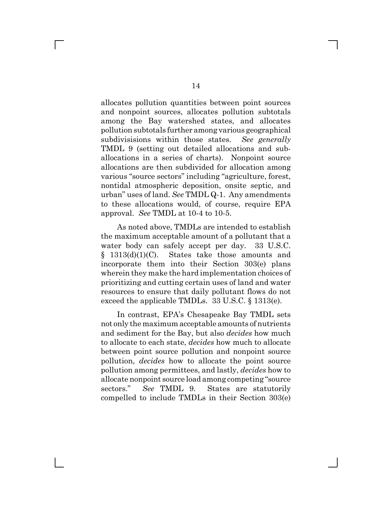allocates pollution quantities between point sources and nonpoint sources, allocates pollution subtotals among the Bay watershed states, and allocates pollution subtotals further among various geographical subdivisisions within those states. *See generally* TMDL 9 (setting out detailed allocations and suballocations in a series of charts). Nonpoint source allocations are then subdivided for allocation among various "source sectors" including "agriculture, forest, nontidal atmospheric deposition, onsite septic, and urban" uses of land. *See* TMDL Q-1. Any amendments to these allocations would, of course, require EPA approval. *See* TMDL at 10-4 to 10-5.

As noted above, TMDLs are intended to establish the maximum acceptable amount of a pollutant that a water body can safely accept per day. 33 U.S.C. § 1313(d)(1)(C). States take those amounts and incorporate them into their Section 303(e) plans wherein they make the hard implementation choices of prioritizing and cutting certain uses of land and water resources to ensure that daily pollutant flows do not exceed the applicable TMDLs. 33 U.S.C. § 1313(e).

In contrast, EPA's Chesapeake Bay TMDL sets not only the maximum acceptable amounts of nutrients and sediment for the Bay, but also *decides* how much to allocate to each state, *decides* how much to allocate between point source pollution and nonpoint source pollution, *decides* how to allocate the point source pollution among permittees, and lastly, *decides* how to allocate nonpoint source load among competing "source sectors." *See* TMDL 9. States are statutorily compelled to include TMDLs in their Section 303(e)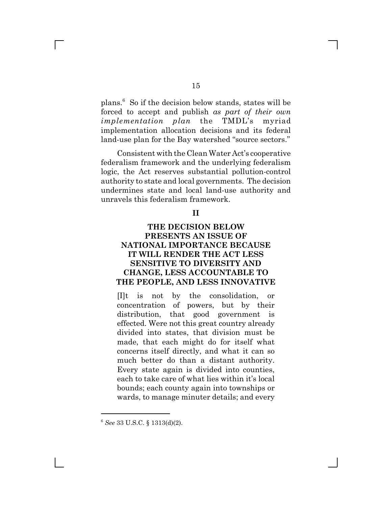plans.<sup>6</sup> So if the decision below stands, states will be forced to accept and publish *as part of their own implementation plan* the TMDL's myriad implementation allocation decisions and its federal land-use plan for the Bay watershed "source sectors."

Consistent with the Clean Water Act's cooperative federalism framework and the underlying federalism logic, the Act reserves substantial pollution-control authority to state and local governments. The decision undermines state and local land-use authority and unravels this federalism framework.

#### **II**

### **THE DECISION BELOW PRESENTS AN ISSUE OF NATIONAL IMPORTANCE BECAUSE IT WILL RENDER THE ACT LESS SENSITIVE TO DIVERSITY AND CHANGE, LESS ACCOUNTABLE TO THE PEOPLE, AND LESS INNOVATIVE**

[I]t is not by the consolidation, or concentration of powers, but by their distribution, that good government is effected. Were not this great country already divided into states, that division must be made, that each might do for itself what concerns itself directly, and what it can so much better do than a distant authority. Every state again is divided into counties, each to take care of what lies within it's local bounds; each county again into townships or wards, to manage minuter details; and every

<sup>6</sup> *See* 33 U.S.C. § 1313(d)(2).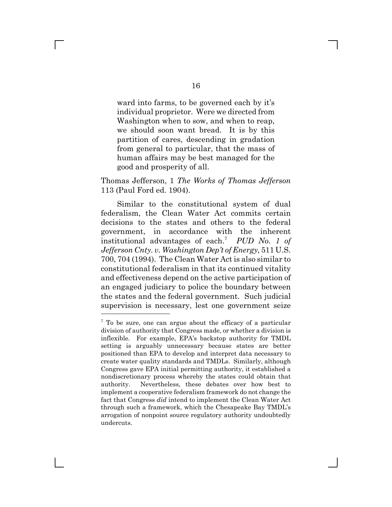ward into farms, to be governed each by it's individual proprietor. Were we directed from Washington when to sow, and when to reap, we should soon want bread. It is by this partition of cares, descending in gradation from general to particular, that the mass of human affairs may be best managed for the good and prosperity of all.

Thomas Jefferson, 1 *The Works of Thomas Jefferson* 113 (Paul Ford ed. 1904).

Similar to the constitutional system of dual federalism, the Clean Water Act commits certain decisions to the states and others to the federal government, in accordance with the inherent institutional advantages of each.<sup>7</sup> *PUD No. 1 of Jefferson Cnty. v. Washington Dep't of Energy,* 511 U.S. 700, 704 (1994). The Clean Water Act is also similar to constitutional federalism in that its continued vitality and effectiveness depend on the active participation of an engaged judiciary to police the boundary between the states and the federal government. Such judicial supervision is necessary, lest one government seize

<sup>&</sup>lt;sup>7</sup> To be sure, one can argue about the efficacy of a particular division of authority that Congress made, or whether a division is inflexible. For example, EPA's backstop authority for TMDL setting is arguably unnecessary because states are better positioned than EPA to develop and interpret data necessary to create water quality standards and TMDLs. Similarly, although Congress gave EPA initial permitting authority, it established a nondiscretionary process whereby the states could obtain that authority. Nevertheless, these debates over how best to implement a cooperative federalism framework do not change the fact that Congress *did* intend to implement the Clean Water Act through such a framework, which the Chesapeake Bay TMDL's arrogation of nonpoint source regulatory authority undoubtedly undercuts.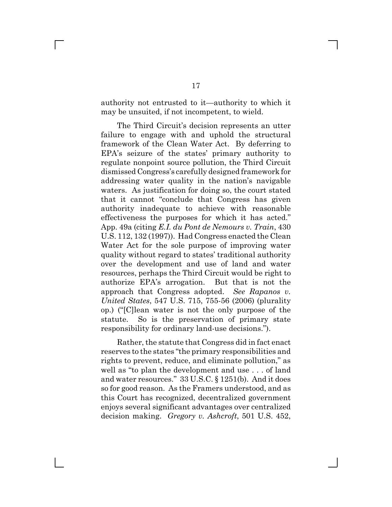authority not entrusted to it—authority to which it may be unsuited, if not incompetent, to wield.

The Third Circuit's decision represents an utter failure to engage with and uphold the structural framework of the Clean Water Act. By deferring to EPA's seizure of the states' primary authority to regulate nonpoint source pollution, the Third Circuit dismissed Congress's carefully designed framework for addressing water quality in the nation's navigable waters. As justification for doing so, the court stated that it cannot "conclude that Congress has given authority inadequate to achieve with reasonable effectiveness the purposes for which it has acted." App. 49a (citing *E.I. du Pont de Nemours v. Train*, 430 U.S. 112, 132 (1997)). Had Congress enacted the Clean Water Act for the sole purpose of improving water quality without regard to states' traditional authority over the development and use of land and water resources, perhaps the Third Circuit would be right to authorize EPA's arrogation. But that is not the approach that Congress adopted. *See Rapanos v. United States*, 547 U.S. 715, 755-56 (2006) (plurality op.) ("[C]lean water is not the only purpose of the statute. So is the preservation of primary state responsibility for ordinary land-use decisions.").

Rather, the statute that Congress did in fact enact reserves to the states "the primary responsibilities and rights to prevent, reduce, and eliminate pollution," as well as "to plan the development and use . . . of land and water resources." 33 U.S.C. § 1251(b). And it does so for good reason. As the Framers understood, and as this Court has recognized, decentralized government enjoys several significant advantages over centralized decision making. *Gregory v. Ashcroft*, 501 U.S. 452,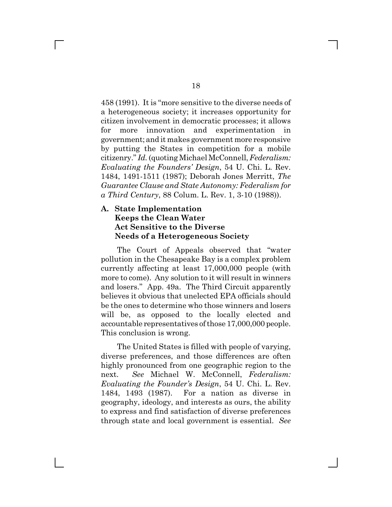458 (1991). It is "more sensitive to the diverse needs of a heterogeneous society; it increases opportunity for citizen involvement in democratic processes; it allows for more innovation and experimentation in government; and it makes government more responsive by putting the States in competition for a mobile citizenry." *Id.* (quoting Michael McConnell, *Federalism: Evaluating the Founders' Design*, 54 U. Chi. L. Rev. 1484, 1491-1511 (1987); Deborah Jones Merritt, *The Guarantee Clause and State Autonomy: Federalism for a Third Century*, 88 Colum. L. Rev. 1, 3-10 (1988)).

### **A. State Implementation Keeps the Clean Water Act Sensitive to the Diverse Needs of a Heterogeneous Society**

The Court of Appeals observed that "water pollution in the Chesapeake Bay is a complex problem currently affecting at least 17,000,000 people (with more to come). Any solution to it will result in winners and losers." App. 49a. The Third Circuit apparently believes it obvious that unelected EPA officials should be the ones to determine who those winners and losers will be, as opposed to the locally elected and accountable representatives of those 17,000,000 people. This conclusion is wrong.

The United States is filled with people of varying, diverse preferences, and those differences are often highly pronounced from one geographic region to the next. *See* Michael W. McConnell, *Federalism: Evaluating the Founder's Design*, 54 U. Chi. L. Rev. 1484, 1493 (1987). For a nation as diverse in geography, ideology, and interests as ours, the ability to express and find satisfaction of diverse preferences through state and local government is essential. *See*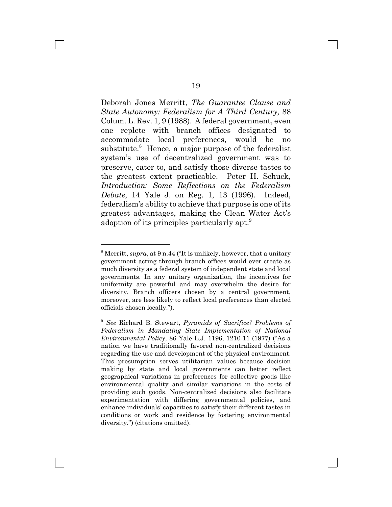Deborah Jones Merritt, *The Guarantee Clause and State Autonomy: Federalism for A Third Century,* 88 Colum. L. Rev. 1, 9 (1988). A federal government, even one replete with branch offices designated to accommodate local preferences, would be no substitute.<sup>8</sup> Hence, a major purpose of the federalist system's use of decentralized government was to preserve, cater to, and satisfy those diverse tastes to the greatest extent practicable. Peter H. Schuck, *Introduction: Some Reflections on the Federalism Debate*, 14 Yale J. on Reg. 1, 13 (1996). Indeed, federalism's ability to achieve that purpose is one of its greatest advantages, making the Clean Water Act's adoption of its principles particularly apt.9

<sup>&</sup>lt;sup>8</sup> Merritt, *supra*, at 9 n.44 ("It is unlikely, however, that a unitary government acting through branch offices would ever create as much diversity as a federal system of independent state and local governments. In any unitary organization, the incentives for uniformity are powerful and may overwhelm the desire for diversity. Branch officers chosen by a central government, moreover, are less likely to reflect local preferences than elected officials chosen locally.").

<sup>9</sup> *See* Richard B. Stewart, *Pyramids of Sacrifice? Problems of Federalism in Mandating State Implementation of National Environmental Policy*, 86 Yale L.J. 1196, 1210-11 (1977) ("As a nation we have traditionally favored non-centralized decisions regarding the use and development of the physical environment. This presumption serves utilitarian values because decision making by state and local governments can better reflect geographical variations in preferences for collective goods like environmental quality and similar variations in the costs of providing such goods. Non-centralized decisions also facilitate experimentation with differing governmental policies, and enhance individuals' capacities to satisfy their different tastes in conditions or work and residence by fostering environmental diversity.") (citations omitted).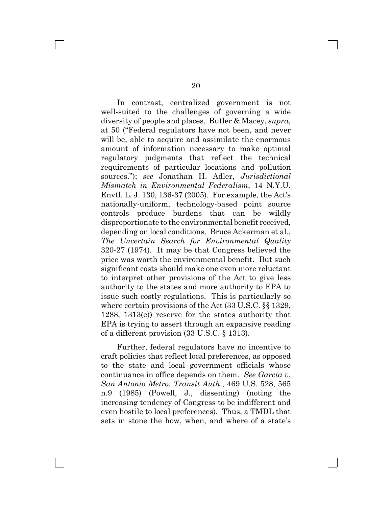In contrast, centralized government is not well-suited to the challenges of governing a wide diversity of people and places. Butler & Macey, *supra*, at 50 ("Federal regulators have not been, and never will be, able to acquire and assimilate the enormous amount of information necessary to make optimal regulatory judgments that reflect the technical requirements of particular locations and pollution sources."); *see* Jonathan H. Adler, *Jurisdictional Mismatch in Environmental Federalism*, 14 N.Y.U. Envtl. L. J. 130, 136-37 (2005). For example, the Act's nationally-uniform, technology-based point source controls produce burdens that can be wildly disproportionate to the environmental benefit received, depending on local conditions. Bruce Ackerman et al., *The Uncertain Search for Environmental Quality* 320-27 (1974). It may be that Congress believed the price was worth the environmental benefit. But such significant costs should make one even more reluctant to interpret other provisions of the Act to give less authority to the states and more authority to EPA to issue such costly regulations. This is particularly so where certain provisions of the Act (33 U.S.C. §§ 1329, 1288, 1313(e)) reserve for the states authority that EPA is trying to assert through an expansive reading of a different provision (33 U.S.C. § 1313).

Further, federal regulators have no incentive to craft policies that reflect local preferences, as opposed to the state and local government officials whose continuance in office depends on them. *See Garcia v. San Antonio Metro. Transit Auth.*, 469 U.S. 528, 565 n.9 (1985) (Powell, J., dissenting) (noting the increasing tendency of Congress to be indifferent and even hostile to local preferences). Thus, a TMDL that sets in stone the how, when, and where of a state's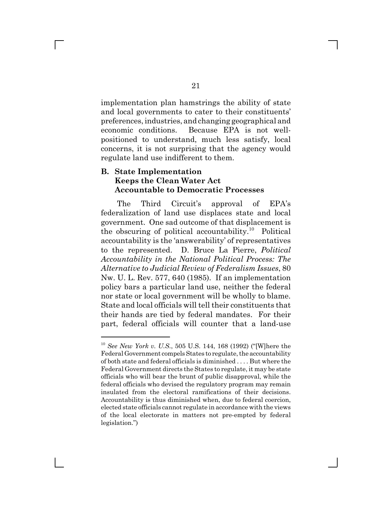implementation plan hamstrings the ability of state and local governments to cater to their constituents' preferences, industries, and changing geographical and economic conditions. Because EPA is not wellpositioned to understand, much less satisfy, local concerns, it is not surprising that the agency would regulate land use indifferent to them.

### **B. State Implementation Keeps the Clean Water Act Accountable to Democratic Processes**

The Third Circuit's approval of EPA's federalization of land use displaces state and local government. One sad outcome of that displacement is the obscuring of political accountability.<sup>10</sup> Political accountability is the 'answerability' of representatives to the represented. D. Bruce La Pierre, *Political Accountability in the National Political Process: The Alternative to Judicial Review of Federalism Issues*, 80 Nw. U. L. Rev. 577, 640 (1985). If an implementation policy bars a particular land use, neither the federal nor state or local government will be wholly to blame. State and local officials will tell their constituents that their hands are tied by federal mandates. For their part, federal officials will counter that a land-use

<sup>10</sup> *See New York v. U.S.*, 505 U.S. 144, 168 (1992) ("[W]here the Federal Government compels States to regulate, the accountability of both state and federal officials is diminished . . . . But where the Federal Government directs the States to regulate, it may be state officials who will bear the brunt of public disapproval, while the federal officials who devised the regulatory program may remain insulated from the electoral ramifications of their decisions. Accountability is thus diminished when, due to federal coercion, elected state officials cannot regulate in accordance with the views of the local electorate in matters not pre-empted by federal legislation.")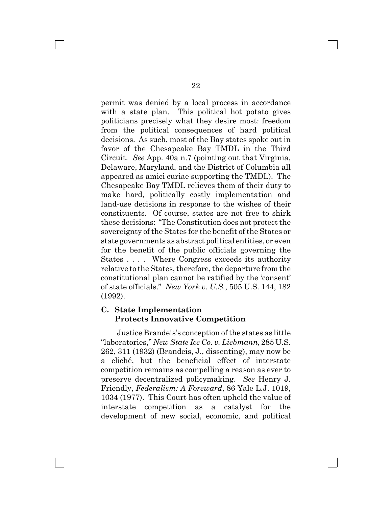permit was denied by a local process in accordance with a state plan. This political hot potato gives politicians precisely what they desire most: freedom from the political consequences of hard political decisions. As such, most of the Bay states spoke out in favor of the Chesapeake Bay TMDL in the Third Circuit. *See* App. 40a n.7 (pointing out that Virginia, Delaware, Maryland, and the District of Columbia all appeared as amici curiae supporting the TMDL). The Chesapeake Bay TMDL relieves them of their duty to make hard, politically costly implementation and land-use decisions in response to the wishes of their constituents. Of course, states are not free to shirk these decisions: "The Constitution does not protect the sovereignty of the States for the benefit of the States or state governments as abstract political entities, or even for the benefit of the public officials governing the States . . . . Where Congress exceeds its authority relative to the States, therefore, the departure from the constitutional plan cannot be ratified by the 'consent' of state officials." *New York v. U.S.*, 505 U.S. 144, 182 (1992).

#### **C. State Implementation Protects Innovative Competition**

Justice Brandeis's conception of the states as little "laboratories," *New State Ice Co. v. Liebmann*, 285 U.S. 262, 311 (1932) (Brandeis, J., dissenting), may now be a cliché, but the beneficial effect of interstate competition remains as compelling a reason as ever to preserve decentralized policymaking. *See* Henry J. Friendly, *Federalism: A Foreward*, 86 Yale L.J. 1019, 1034 (1977). This Court has often upheld the value of interstate competition as a catalyst for the development of new social, economic, and political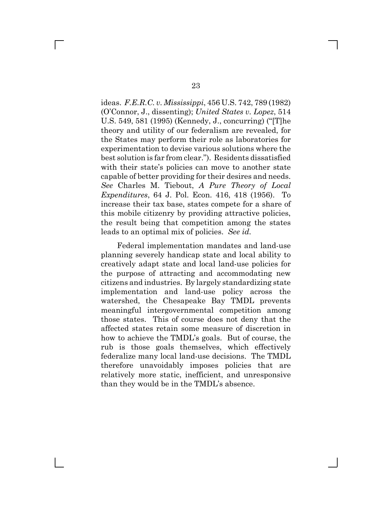ideas. *F.E.R.C. v. Mississippi*, 456 U.S. 742, 789 (1982) (O'Connor, J., dissenting); *United States v. Lopez*, 514 U.S. 549, 581 (1995) (Kennedy, J., concurring) ("[T]he theory and utility of our federalism are revealed, for the States may perform their role as laboratories for experimentation to devise various solutions where the best solution is far from clear."). Residents dissatisfied with their state's policies can move to another state capable of better providing for their desires and needs. *See* Charles M. Tiebout, *A Pure Theory of Local Expenditures*, 64 J. Pol. Econ. 416, 418 (1956). To increase their tax base, states compete for a share of this mobile citizenry by providing attractive policies, the result being that competition among the states leads to an optimal mix of policies. *See id.*

Federal implementation mandates and land-use planning severely handicap state and local ability to creatively adapt state and local land-use policies for the purpose of attracting and accommodating new citizens and industries. By largely standardizing state implementation and land-use policy across the watershed, the Chesapeake Bay TMDL prevents meaningful intergovernmental competition among those states. This of course does not deny that the affected states retain some measure of discretion in how to achieve the TMDL's goals. But of course, the rub is those goals themselves, which effectively federalize many local land-use decisions. The TMDL therefore unavoidably imposes policies that are relatively more static, inefficient, and unresponsive than they would be in the TMDL's absence.